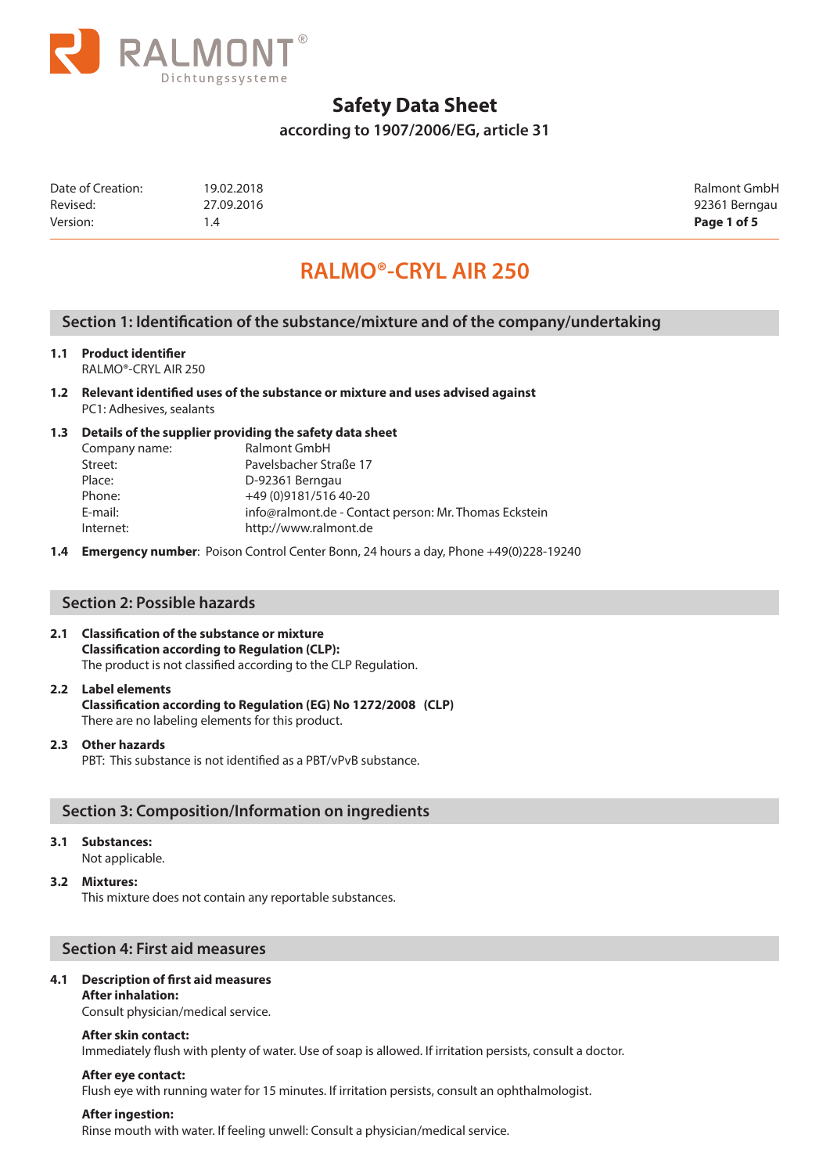

**according to 1907/2006/EG, article 31**

| Version:          | 4. ،       | Page 1 of 5   |
|-------------------|------------|---------------|
| Revised:          | 27.09.2016 | 92361 Berngau |
| Date of Creation: | 19.02.2018 | Ralmont GmbH  |

92361 Berngau

# **RALMO®-CRYL AIR 250**

### **Section 1: Identification of the substance/mixture and of the company/undertaking**

**1.1 Product identifier**

RALMO®-CRYL AIR 250

**1.2 Relevant identified uses of the substance or mixture and uses advised against**  PC1: Adhesives, sealants

### **1.3 Details of the supplier providing the safety data sheet**

| Company name: | Ralmont GmbH                                          |
|---------------|-------------------------------------------------------|
| Street:       | Pavelsbacher Straße 17                                |
| Place:        | D-92361 Berngau                                       |
| Phone:        | +49 (0) 9181/516 40-20                                |
| E-mail:       | info@ralmont.de - Contact person: Mr. Thomas Eckstein |
| Internet:     | http://www.ralmont.de                                 |

**1.4 Emergency number**: Poison Control Center Bonn, 24 hours a day, Phone +49(0)228-19240

### **Section 2: Possible hazards**

### **2.1 Classification of the substance or mixture Classification according to Regulation (CLP):**

The product is not classified according to the CLP Regulation.

### **2.2 Label elements**

**Classification according to Regulation (EG) No 1272/2008 (CLP)** There are no labeling elements for this product.

### **2.3 Other hazards**

PBT: This substance is not identified as a PBT/vPvB substance.

### **Section 3: Composition/Information on ingredients**

#### **3.1 Substances:**

Not applicable.

#### **3.2 Mixtures:**

This mixture does not contain any reportable substances.

### **Section 4: First aid measures**

### **4.1 Description of first aid measures**

**After inhalation:**  Consult physician/medical service.

### **After skin contact:**

Immediately flush with plenty of water. Use of soap is allowed. If irritation persists, consult a doctor.

### **After eye contact:**

Flush eye with running water for 15 minutes. If irritation persists, consult an ophthalmologist.

#### **After ingestion:**

Rinse mouth with water. If feeling unwell: Consult a physician/medical service.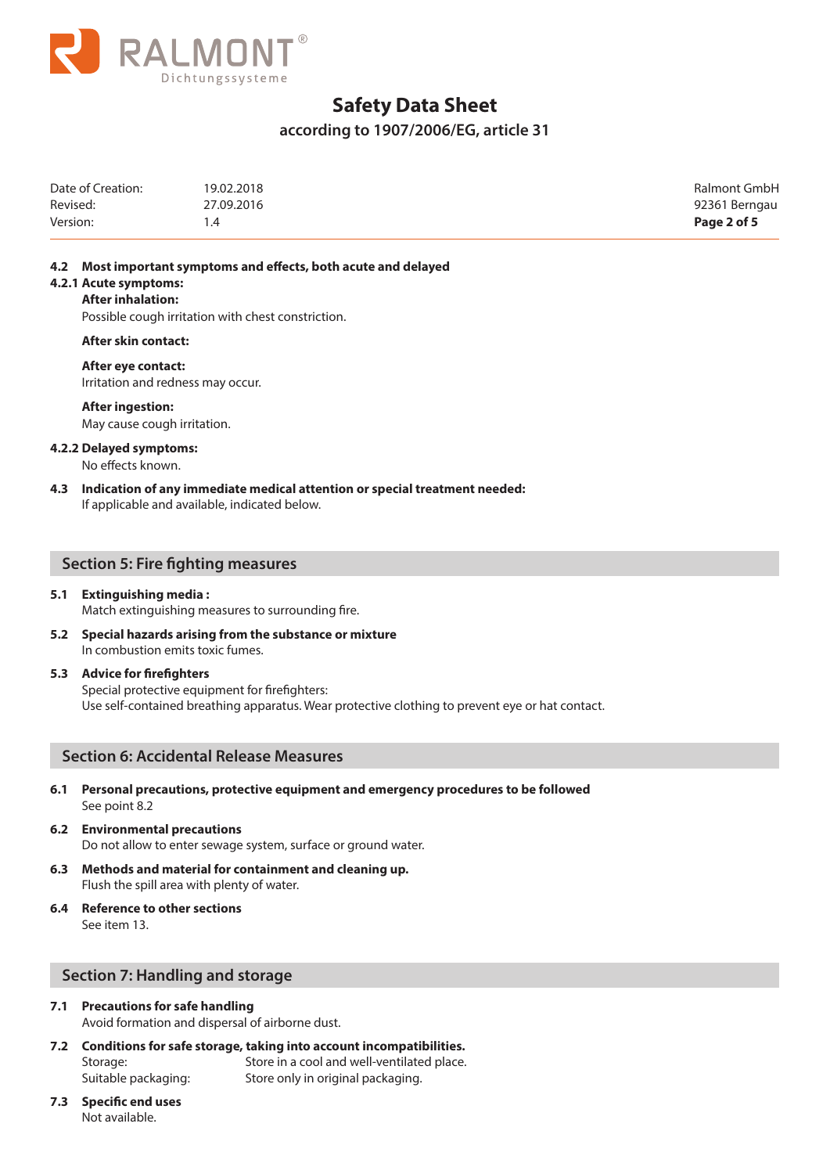

**according to 1907/2006/EG, article 31**

| Date of Creation: | 19.02.2018 | Ralmont GmbH  |
|-------------------|------------|---------------|
| Revised:          | 27.09.2016 | 92361 Berngau |
| Version:          | י 4.       | Page 2 of 5   |

#### **4.2 Most important symptoms and effects, both acute and delayed**

#### **4.2.1 Acute symptoms:**

#### **After inhalation:**

Possible cough irritation with chest constriction.

**After skin contact:** 

#### **After eye contact:**

Irritation and redness may occur.

#### **After ingestion:**

May cause cough irritation.

#### **4.2.2 Delayed symptoms:**

No effects known.

**4.3 Indication of any immediate medical attention or special treatment needed:**  If applicable and available, indicated below.

### **Section 5: Fire fighting measures**

#### **5.1 Extinguishing media :**

Match extinguishing measures to surrounding fire.

**5.2 Special hazards arising from the substance or mixture**  In combustion emits toxic fumes.

#### **5.3 Advice for firefighters**

Special protective equipment for firefighters: Use self-contained breathing apparatus. Wear protective clothing to prevent eye or hat contact.

### **Section 6: Accidental Release Measures**

- **6.1 Personal precautions, protective equipment and emergency procedures to be followed** See point 8.2
- **6.2 Environmental precautions** Do not allow to enter sewage system, surface or ground water.
- **6.3 Methods and material for containment and cleaning up.** Flush the spill area with plenty of water.
- **6.4 Reference to other sections**  See item 13.

### **Section 7: Handling and storage**

### **7.1 Precautions for safe handling**

Avoid formation and dispersal of airborne dust.

- **7.2 Conditions for safe storage, taking into account incompatibilities.**  Storage: Store in a cool and well-ventilated place. Suitable packaging: Store only in original packaging.
- **7.3 Specific end uses**  Not available.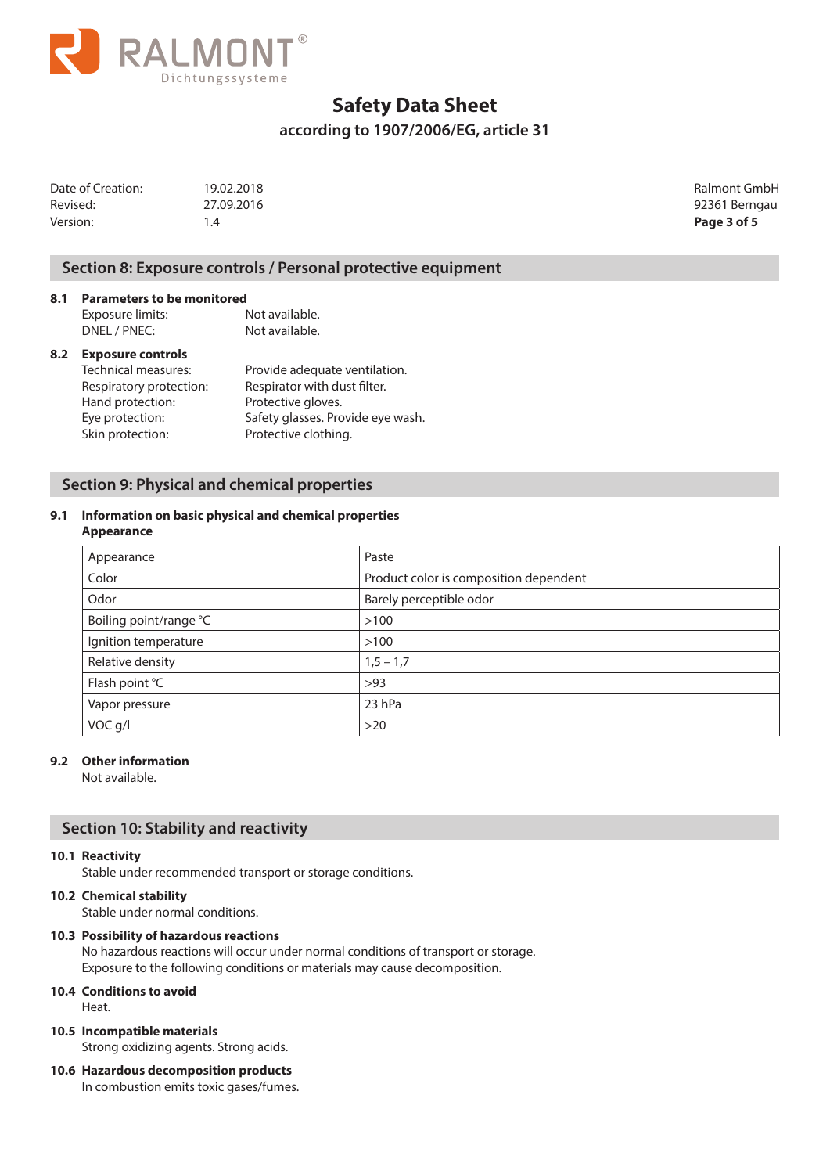

### **according to 1907/2006/EG, article 31**

| Date of Creation: | 19.02.2018 | Ralmont GmbH  |
|-------------------|------------|---------------|
| Revised:          | 27.09.2016 | 92361 Berngau |
| Version:          |            | Page 3 of 5   |

### **Section 8: Exposure controls / Personal protective equipment**

**8.1 Parameters to be monitored**<br>**Exposure limits:** Not available. Exposure limits: DNEL / PNEC: Not available.

### **8.2 Exposure controls**

| Technical measures:     | Provide adequate ventilation.     |
|-------------------------|-----------------------------------|
| Respiratory protection: | Respirator with dust filter.      |
| Hand protection:        | Protective gloves.                |
| Eye protection:         | Safety glasses. Provide eye wash. |
| Skin protection:        | Protective clothing.              |
|                         |                                   |

### **Section 9: Physical and chemical properties**

### **9.1 Information on basic physical and chemical properties**

#### **Appearance**

| Paste                                  |
|----------------------------------------|
| Product color is composition dependent |
| Barely perceptible odor                |
| >100                                   |
| >100                                   |
| $1,5 - 1,7$                            |
| >93                                    |
| 23 hPa                                 |
| $>20$                                  |
|                                        |

### **9.2 Other information**

Not available.

## **Section 10: Stability and reactivity**

#### **10.1 Reactivity**

Stable under recommended transport or storage conditions.

### **10.2 Chemical stability**

Stable under normal conditions.

### **10.3 Possibility of hazardous reactions**

No hazardous reactions will occur under normal conditions of transport or storage. Exposure to the following conditions or materials may cause decomposition.

### **10.4 Conditions to avoid**

Heat.

### **10.5 Incompatible materials**

Strong oxidizing agents. Strong acids.

## **10.6 Hazardous decomposition products**

In combustion emits toxic gases/fumes.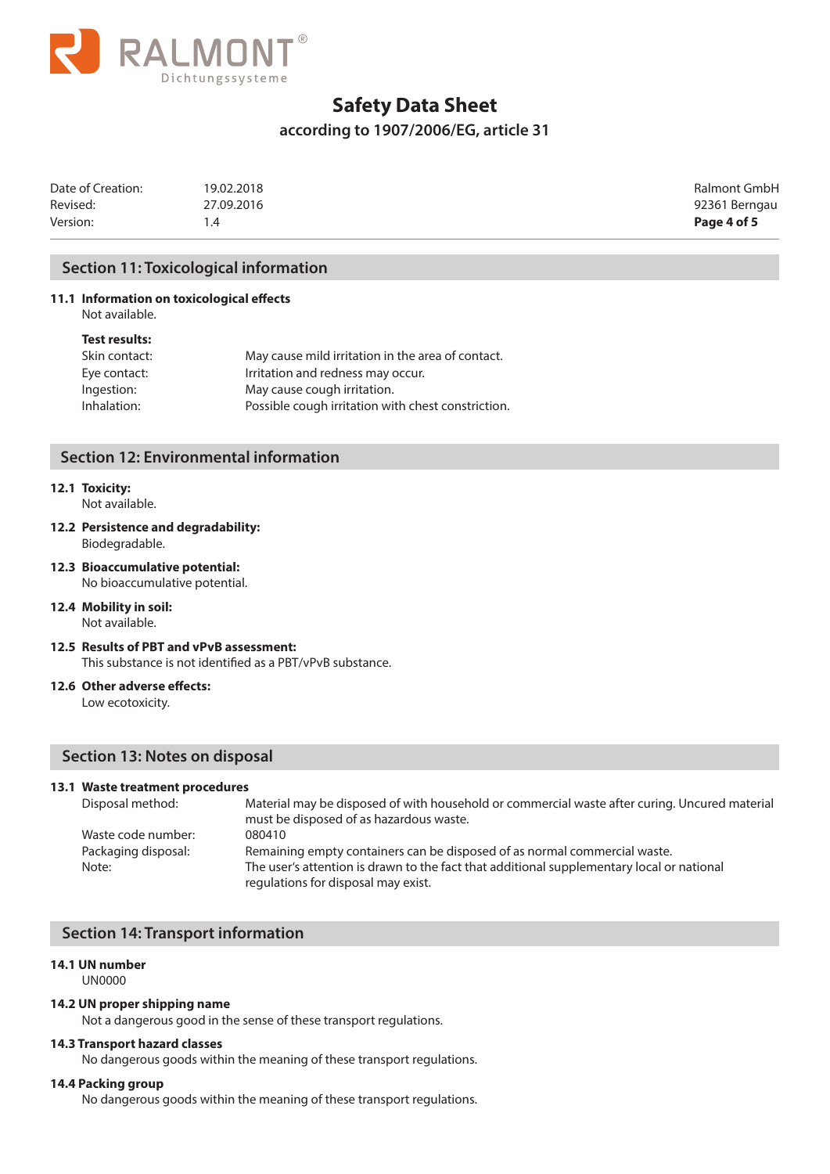

### **according to 1907/2006/EG, article 31**

| Date of Creation: | 19.02.2018 | Ralmont GmbH  |
|-------------------|------------|---------------|
| Revised:          | 27.09.2016 | 92361 Berngau |
| Version:          |            | Page 4 of 5   |

### **Section 11: Toxicological information**

### **11.1 Information on toxicological effects**

Not available.

#### **Test results:**

| May cause mild irritation in the area of contact.  |
|----------------------------------------------------|
| Irritation and redness may occur.                  |
| May cause cough irritation.                        |
| Possible cough irritation with chest constriction. |
|                                                    |

### **Section 12: Environmental information**

# **12.1 Toxicity:**

- Not available.
- **12.2 Persistence and degradability:**  Biodegradable.
- **12.3 Bioaccumulative potential:**  No bioaccumulative potential.

# **12.4 Mobility in soil:**

Not available.

**12.5 Results of PBT and vPvB assessment:**  This substance is not identified as a PBT/vPvB substance.

### **12.6 Other adverse effects:**

Low ecotoxicity.

### **Section 13: Notes on disposal**

#### **13.1 Waste treatment procedures**

| Disposal method:    | Material may be disposed of with household or commercial waste after curing. Uncured material                                    |
|---------------------|----------------------------------------------------------------------------------------------------------------------------------|
|                     | must be disposed of as hazardous waste.                                                                                          |
| Waste code number:  | 080410                                                                                                                           |
| Packaging disposal: | Remaining empty containers can be disposed of as normal commercial waste.                                                        |
| Note:               | The user's attention is drawn to the fact that additional supplementary local or national<br>regulations for disposal may exist. |
|                     |                                                                                                                                  |

### **Section 14: Transport information**

#### **14.1 UN number**

UN0000

#### **14.2 UN proper shipping name**

Not a dangerous good in the sense of these transport regulations.

#### **14.3 Transport hazard classes**

No dangerous goods within the meaning of these transport regulations.

#### **14.4 Packing group**

No dangerous goods within the meaning of these transport regulations.